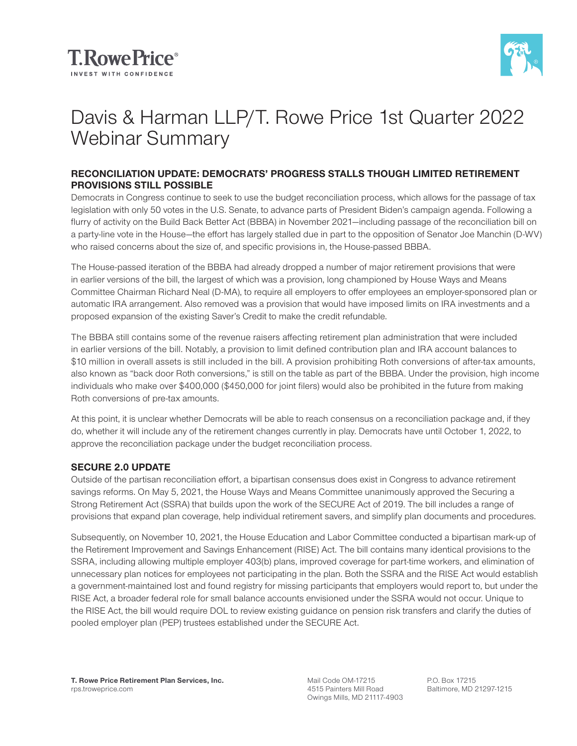



# Davis & Harman LLP/T. Rowe Price 1st Quarter 2022 Webinar Summary

#### **RECONCILIATION UPDATE: DEMOCRATS' PROGRESS STALLS THOUGH LIMITED RETIREMENT PROVISIONS STILL POSSIBLE**

Democrats in Congress continue to seek to use the budget reconciliation process, which allows for the passage of tax legislation with only 50 votes in the U.S. Senate, to advance parts of President Biden's campaign agenda. Following a flurry of activity on the Build Back Better Act (BBBA) in November 2021—including passage of the reconciliation bill on a party-line vote in the House—the effort has largely stalled due in part to the opposition of Senator Joe Manchin (D-WV) who raised concerns about the size of, and specific provisions in, the House-passed BBBA.

The House-passed iteration of the BBBA had already dropped a number of major retirement provisions that were in earlier versions of the bill, the largest of which was a provision, long championed by House Ways and Means Committee Chairman Richard Neal (D-MA), to require all employers to offer employees an employer-sponsored plan or automatic IRA arrangement. Also removed was a provision that would have imposed limits on IRA investments and a proposed expansion of the existing Saver's Credit to make the credit refundable.

The BBBA still contains some of the revenue raisers affecting retirement plan administration that were included in earlier versions of the bill. Notably, a provision to limit defined contribution plan and IRA account balances to \$10 million in overall assets is still included in the bill. A provision prohibiting Roth conversions of after-tax amounts, also known as "back door Roth conversions," is still on the table as part of the BBBA. Under the provision, high income individuals who make over \$400,000 (\$450,000 for joint filers) would also be prohibited in the future from making Roth conversions of pre-tax amounts.

At this point, it is unclear whether Democrats will be able to reach consensus on a reconciliation package and, if they do, whether it will include any of the retirement changes currently in play. Democrats have until October 1, 2022, to approve the reconciliation package under the budget reconciliation process.

## **SECURE 2.0 UPDATE**

Outside of the partisan reconciliation effort, a bipartisan consensus does exist in Congress to advance retirement savings reforms. On May 5, 2021, the House Ways and Means Committee unanimously approved the Securing a Strong Retirement Act (SSRA) that builds upon the work of the SECURE Act of 2019. The bill includes a range of provisions that expand plan coverage, help individual retirement savers, and simplify plan documents and procedures.

Subsequently, on November 10, 2021, the House Education and Labor Committee conducted a bipartisan mark-up of the Retirement Improvement and Savings Enhancement (RISE) Act. The bill contains many identical provisions to the SSRA, including allowing multiple employer 403(b) plans, improved coverage for part-time workers, and elimination of unnecessary plan notices for employees not participating in the plan. Both the SSRA and the RISE Act would establish a government-maintained lost and found registry for missing participants that employers would report to, but under the RISE Act, a broader federal role for small balance accounts envisioned under the SSRA would not occur. Unique to the RISE Act, the bill would require DOL to review existing guidance on pension risk transfers and clarify the duties of pooled employer plan (PEP) trustees established under the SECURE Act.

Mail Code OM-17215 4515 Painters Mill Road Owings Mills, MD 21117-4903 P.O. Box 17215 Baltimore, MD 21297-1215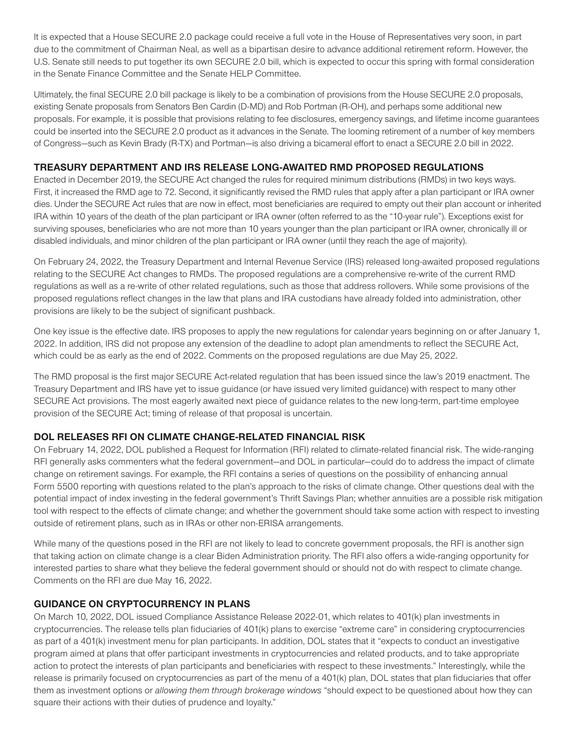It is expected that a House SECURE 2.0 package could receive a full vote in the House of Representatives very soon, in part due to the commitment of Chairman Neal, as well as a bipartisan desire to advance additional retirement reform. However, the U.S. Senate still needs to put together its own SECURE 2.0 bill, which is expected to occur this spring with formal consideration in the Senate Finance Committee and the Senate HELP Committee.

Ultimately, the final SECURE 2.0 bill package is likely to be a combination of provisions from the House SECURE 2.0 proposals, existing Senate proposals from Senators Ben Cardin (D-MD) and Rob Portman (R-OH), and perhaps some additional new proposals. For example, it is possible that provisions relating to fee disclosures, emergency savings, and lifetime income guarantees could be inserted into the SECURE 2.0 product as it advances in the Senate. The looming retirement of a number of key members of Congress—such as Kevin Brady (R-TX) and Portman—is also driving a bicameral effort to enact a SECURE 2.0 bill in 2022.

## **TREASURY DEPARTMENT AND IRS RELEASE LONG-AWAITED RMD PROPOSED REGULATIONS**

Enacted in December 2019, the SECURE Act changed the rules for required minimum distributions (RMDs) in two keys ways. First, it increased the RMD age to 72. Second, it significantly revised the RMD rules that apply after a plan participant or IRA owner dies. Under the SECURE Act rules that are now in effect, most beneficiaries are required to empty out their plan account or inherited IRA within 10 years of the death of the plan participant or IRA owner (often referred to as the "10-year rule"). Exceptions exist for surviving spouses, beneficiaries who are not more than 10 years younger than the plan participant or IRA owner, chronically ill or disabled individuals, and minor children of the plan participant or IRA owner (until they reach the age of majority).

On February 24, 2022, the Treasury Department and Internal Revenue Service (IRS) released long-awaited proposed regulations relating to the SECURE Act changes to RMDs. The proposed regulations are a comprehensive re-write of the current RMD regulations as well as a re-write of other related regulations, such as those that address rollovers. While some provisions of the proposed regulations reflect changes in the law that plans and IRA custodians have already folded into administration, other provisions are likely to be the subject of significant pushback.

One key issue is the effective date. IRS proposes to apply the new regulations for calendar years beginning on or after January 1, 2022. In addition, IRS did not propose any extension of the deadline to adopt plan amendments to reflect the SECURE Act, which could be as early as the end of 2022. Comments on the proposed regulations are due May 25, 2022.

The RMD proposal is the first major SECURE Act-related regulation that has been issued since the law's 2019 enactment. The Treasury Department and IRS have yet to issue guidance (or have issued very limited guidance) with respect to many other SECURE Act provisions. The most eagerly awaited next piece of guidance relates to the new long-term, part-time employee provision of the SECURE Act; timing of release of that proposal is uncertain.

## **DOL RELEASES RFI ON CLIMATE CHANGE-RELATED FINANCIAL RISK**

On February 14, 2022, DOL published a Request for Information (RFI) related to climate-related financial risk. The wide-ranging RFI generally asks commenters what the federal government—and DOL in particular—could do to address the impact of climate change on retirement savings. For example, the RFI contains a series of questions on the possibility of enhancing annual Form 5500 reporting with questions related to the plan's approach to the risks of climate change. Other questions deal with the potential impact of index investing in the federal government's Thrift Savings Plan; whether annuities are a possible risk mitigation tool with respect to the effects of climate change; and whether the government should take some action with respect to investing outside of retirement plans, such as in IRAs or other non-ERISA arrangements.

While many of the questions posed in the RFI are not likely to lead to concrete government proposals, the RFI is another sign that taking action on climate change is a clear Biden Administration priority. The RFI also offers a wide-ranging opportunity for interested parties to share what they believe the federal government should or should not do with respect to climate change. Comments on the RFI are due May 16, 2022.

#### **GUIDANCE ON CRYPTOCURRENCY IN PLANS**

On March 10, 2022, DOL issued Compliance Assistance Release 2022-01, which relates to 401(k) plan investments in cryptocurrencies. The release tells plan fiduciaries of 401(k) plans to exercise "extreme care" in considering cryptocurrencies as part of a 401(k) investment menu for plan participants. In addition, DOL states that it "expects to conduct an investigative program aimed at plans that offer participant investments in cryptocurrencies and related products, and to take appropriate action to protect the interests of plan participants and beneficiaries with respect to these investments." Interestingly, while the release is primarily focused on cryptocurrencies as part of the menu of a 401(k) plan, DOL states that plan fiduciaries that offer them as investment options or *allowing them through brokerage windows* "should expect to be questioned about how they can square their actions with their duties of prudence and loyalty."